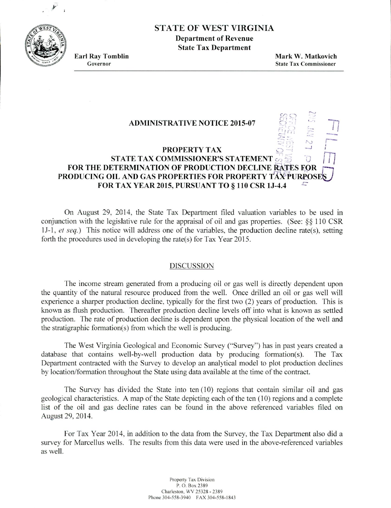STATE OF WEST VIRGINIA

**Department of Revenue State Tax Department**

**Earl Ray Tomblin Mark W. Matkovich Governor State Tax Commissioner**

 $\overline{C}$ 

## **ADMINISTRATIVE NOTICE 2015-07 PROPERTY TAX PRODUCING OIL AND GAS PROPERTIES FOR PROPERTY TAX PURPOSE FOR THE DETERMINATION OF PRODUCTION DECLINE RATES FOR STATE TAX COMMISSIONER'S STATEMENT FOR TAX YEAR 2015. PURSUANT TO** § **110 CSR 1J-4.4**

On August 29, 2014. the State Tax Department filed valuation variables to be used in conjunction with the legislative rule for the appraisal of oil and gas properties. (See:  $&$  110 CSR *1J-1, et seq.)* This notice will address one of the variables, the production decline rate(s), setting forth the procedures used in developing the rate(s) for Tax Year 2015.

## DISCUSSION

The income stream generated from a producing oil or gas well is directly dependent upon the quantity of the natural resource produced from the well. Once drilled an oil or gas well will experience a sharper production decline, typically for the first two (2) years of production. This is known as flush production. Thereafter production decline levels off into what is known as settled production. The rate of production decline is dependent upon the physical location of the well and the stratigraphic formation(s) from which the well is producing.

The West Virginia Geological and Economic Survey ("Survey") has in past years created a database that contains well-by-well production data by producing formation(s). The Tax Department contracted with the Survey to develop an analytical model to plot production declines by location/formation throughout the State using data available at the time of the contract.

The Survey has divided the State into ten (10) regions that contain similar oil and gas geological characteristics. A map of the State depicting each of the ten (10) regions and a complete list of the oil and gas decline rates can be found in the above referenced variables filed on August 29, 2014.

For Tax Year 2014. in addition to the data from the Survey, the Tax Department also did a survey for Marcellus wells. The results from this data were used in the above-referenced variables as well.

> Property Fax Division P. 0. Box 2389 Charleston, WV 25328 - 2389 Phone 304-558-3940 FAX 304-558-1843